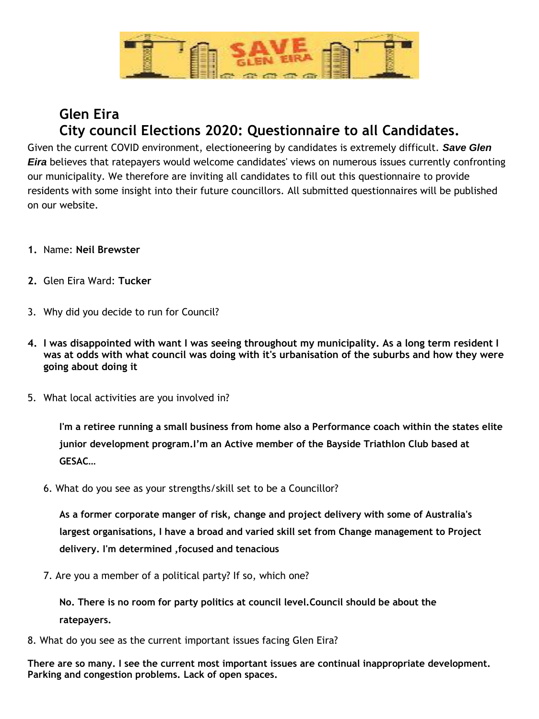

## **Glen Eira City council Elections 2020: Questionnaire to all Candidates.**

Given the current COVID environment, electioneering by candidates is extremely difficult. *Save Glen Eira* believes that ratepayers would welcome candidates' views on numerous issues currently confronting our municipality. We therefore are inviting all candidates to fill out this questionnaire to provide residents with some insight into their future councillors. All submitted questionnaires will be published on our website.

- **1.** Name: **Neil Brewster**
- **2.** Glen Eira Ward: **Tucker**
- 3. Why did you decide to run for Council?
- **4. I was disappointed with want I was seeing throughout my municipality. As a long term resident I was at odds with what council was doing with it's urbanisation of the suburbs and how they were going about doing it**
- 5. What local activities are you involved in?

**I'm a retiree running a small business from home also a Performance coach within the states elite junior development program.I'm an Active member of the Bayside Triathlon Club based at GESAC**…

6. What do you see as your strengths/skill set to be a Councillor?

**As a former corporate manger of risk, change and project delivery with some of Australia's largest organisations, I have a broad and varied skill set from Change management to Project delivery. I'm determined ,focused and tenacious**

7. Are you a member of a political party? If so, which one?

**No. There is no room for party politics at council level.Council should be about the ratepayers.**

8. What do you see as the current important issues facing Glen Eira?

**There are so many. I see the current most important issues are continual inappropriate development. Parking and congestion problems. Lack of open spaces.**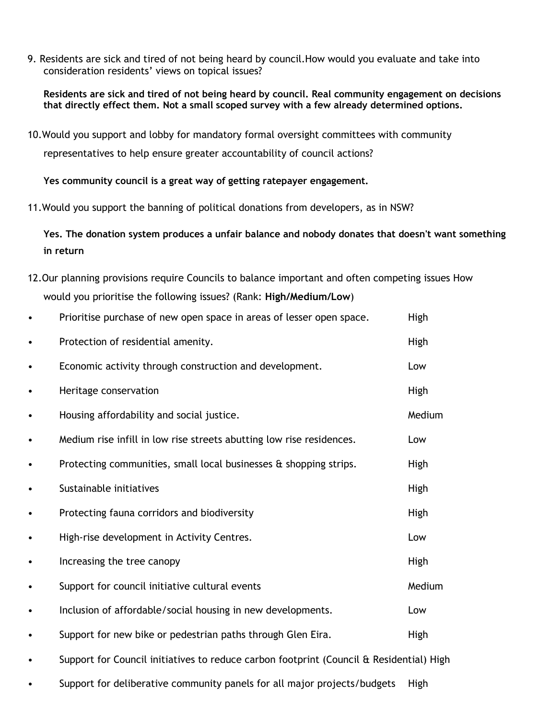9. Residents are sick and tired of not being heard by council.How would you evaluate and take into consideration residents' views on topical issues?

**Residents are sick and tired of not being heard by council. Real community engagement on decisions that directly effect them. Not a small scoped survey with a few already determined options.**

10.Would you support and lobby for mandatory formal oversight committees with community representatives to help ensure greater accountability of council actions?

**Yes community council is a great way of getting ratepayer engagement.** 

11.Would you support the banning of political donations from developers, as in NSW?

**Yes. The donation system produces a unfair balance and nobody donates that doesn't want something in return**

12.Our planning provisions require Councils to balance important and often competing issues How would you prioritise the following issues? (Rank: **High/Medium/Low**)

|           | Prioritise purchase of new open space in areas of lesser open space.                    | High   |
|-----------|-----------------------------------------------------------------------------------------|--------|
| ٠         | Protection of residential amenity.                                                      | High   |
| $\bullet$ | Economic activity through construction and development.                                 | Low    |
| $\bullet$ | Heritage conservation                                                                   | High   |
| $\bullet$ | Housing affordability and social justice.                                               | Medium |
| $\bullet$ | Medium rise infill in low rise streets abutting low rise residences.                    | Low    |
| $\bullet$ | Protecting communities, small local businesses & shopping strips.                       | High   |
| ٠         | Sustainable initiatives                                                                 | High   |
| $\bullet$ | Protecting fauna corridors and biodiversity                                             | High   |
| $\bullet$ | High-rise development in Activity Centres.                                              | Low    |
| $\bullet$ | Increasing the tree canopy                                                              | High   |
| $\bullet$ | Support for council initiative cultural events                                          | Medium |
| $\bullet$ | Inclusion of affordable/social housing in new developments.                             | Low    |
| ٠         | Support for new bike or pedestrian paths through Glen Eira.                             | High   |
|           | Support for Council initiatives to reduce carbon footprint (Council & Residential) High |        |
|           |                                                                                         |        |

• Support for deliberative community panels for all major projects/budgets High